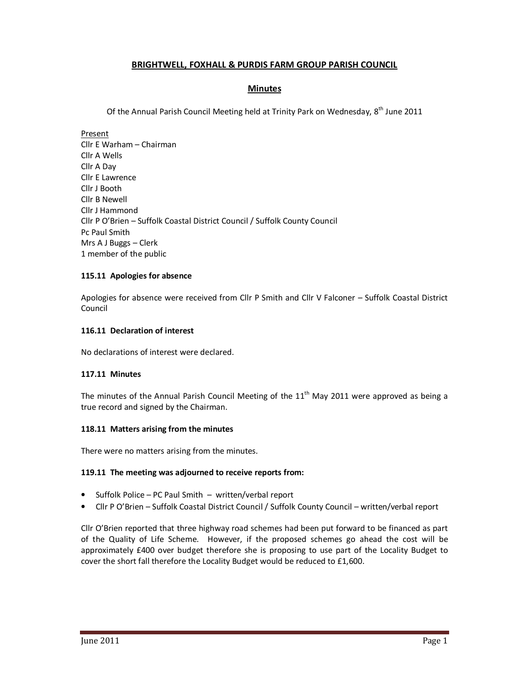## **BRIGHTWELL, FOXHALL & PURDIS FARM GROUP PARISH COUNCIL**

## **Minutes**

Of the Annual Parish Council Meeting held at Trinity Park on Wednesday,  $8^{th}$  June 2011

Present Cllr E Warham – Chairman Cllr A Wells Cllr A Day Cllr E Lawrence Cllr J Booth Cllr B Newell Cllr J Hammond Cllr P O'Brien – Suffolk Coastal District Council / Suffolk County Council Pc Paul Smith Mrs A J Buggs – Clerk 1 member of the public

## **115.11 Apologies for absence**

Apologies for absence were received from Cllr P Smith and Cllr V Falconer – Suffolk Coastal District Council

## **116.11 Declaration of interest**

No declarations of interest were declared.

## **117.11 Minutes**

The minutes of the Annual Parish Council Meeting of the  $11<sup>th</sup>$  May 2011 were approved as being a true record and signed by the Chairman.

### **118.11 Matters arising from the minutes**

There were no matters arising from the minutes.

### **119.11 The meeting was adjourned to receive reports from:**

- Suffolk Police PC Paul Smith written/verbal report
- Cllr P O'Brien Suffolk Coastal District Council / Suffolk County Council written/verbal report

Cllr O'Brien reported that three highway road schemes had been put forward to be financed as part of the Quality of Life Scheme. However, if the proposed schemes go ahead the cost will be approximately £400 over budget therefore she is proposing to use part of the Locality Budget to cover the short fall therefore the Locality Budget would be reduced to £1,600.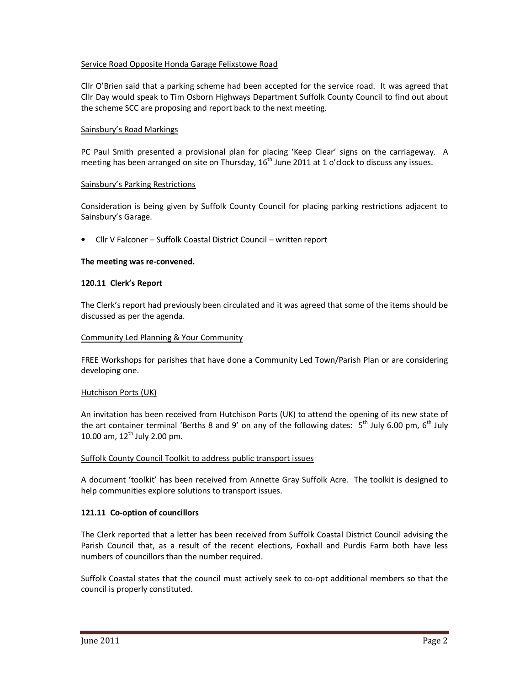## Service Road Opposite Honda Garage Felixstowe Road

Cllr O'Brien said that a parking scheme had been accepted for the service road. It was agreed that Cllr Day would speak to Tim Osborn Highways Department Suffolk County Council to find out about the scheme SCC are proposing and report back to the next meeting.

### Sainsbury's Road Markings

PC Paul Smith presented a provisional plan for placing 'Keep Clear' signs on the carriageway. A meeting has been arranged on site on Thursday,  $16<sup>th</sup>$  June 2011 at 1 o'clock to discuss any issues.

## Sainsbury's Parking Restrictions

Consideration is being given by Suffolk County Council for placing parking restrictions adjacent to Sainsbury's Garage.

• Cllr V Falconer – Suffolk Coastal District Council – written report

### **The meeting was re-convened.**

### **120.11 Clerk's Report**

The Clerk's report had previously been circulated and it was agreed that some of the items should be discussed as per the agenda.

### Community Led Planning & Your Community

FREE Workshops for parishes that have done a Community Led Town/Parish Plan or are considering developing one.

### Hutchison Ports (UK)

An invitation has been received from Hutchison Ports (UK) to attend the opening of its new state of the art container terminal 'Berths 8 and 9' on any of the following dates:  $5<sup>th</sup>$  July 6.00 pm,  $6<sup>th</sup>$  July 10.00 am,  $12^{th}$  July 2.00 pm.

### Suffolk County Council Toolkit to address public transport issues

A document 'toolkit' has been received from Annette Gray Suffolk Acre. The toolkit is designed to help communities explore solutions to transport issues.

### **121.11 Co-option of councillors**

The Clerk reported that a letter has been received from Suffolk Coastal District Council advising the Parish Council that, as a result of the recent elections, Foxhall and Purdis Farm both have less numbers of councillors than the number required.

Suffolk Coastal states that the council must actively seek to co-opt additional members so that the council is properly constituted.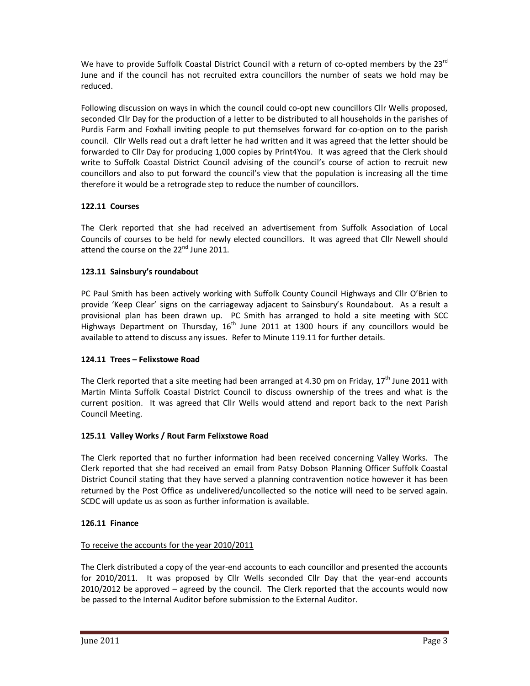We have to provide Suffolk Coastal District Council with a return of co-opted members by the 23 $^{\text{rd}}$ June and if the council has not recruited extra councillors the number of seats we hold may be reduced.

Following discussion on ways in which the council could co-opt new councillors Cllr Wells proposed, seconded Cllr Day for the production of a letter to be distributed to all households in the parishes of Purdis Farm and Foxhall inviting people to put themselves forward for co-option on to the parish council. Cllr Wells read out a draft letter he had written and it was agreed that the letter should be forwarded to Cllr Day for producing 1,000 copies by Print4You. It was agreed that the Clerk should write to Suffolk Coastal District Council advising of the council's course of action to recruit new councillors and also to put forward the council's view that the population is increasing all the time therefore it would be a retrograde step to reduce the number of councillors.

# **122.11 Courses**

The Clerk reported that she had received an advertisement from Suffolk Association of Local Councils of courses to be held for newly elected councillors. It was agreed that Cllr Newell should attend the course on the 22<sup>nd</sup> June 2011.

# **123.11 Sainsbury's roundabout**

PC Paul Smith has been actively working with Suffolk County Council Highways and Cllr O'Brien to provide 'Keep Clear' signs on the carriageway adjacent to Sainsbury's Roundabout. As a result a provisional plan has been drawn up. PC Smith has arranged to hold a site meeting with SCC Highways Department on Thursday,  $16<sup>th</sup>$  June 2011 at 1300 hours if any councillors would be available to attend to discuss any issues. Refer to Minute 119.11 for further details.

# **124.11 Trees – Felixstowe Road**

The Clerk reported that a site meeting had been arranged at 4.30 pm on Friday,  $17<sup>th</sup>$  June 2011 with Martin Minta Suffolk Coastal District Council to discuss ownership of the trees and what is the current position. It was agreed that Cllr Wells would attend and report back to the next Parish Council Meeting.

# **125.11 Valley Works / Rout Farm Felixstowe Road**

The Clerk reported that no further information had been received concerning Valley Works. The Clerk reported that she had received an email from Patsy Dobson Planning Officer Suffolk Coastal District Council stating that they have served a planning contravention notice however it has been returned by the Post Office as undelivered/uncollected so the notice will need to be served again. SCDC will update us as soon as further information is available.

# **126.11 Finance**

# To receive the accounts for the year 2010/2011

The Clerk distributed a copy of the year-end accounts to each councillor and presented the accounts for 2010/2011. It was proposed by Cllr Wells seconded Cllr Day that the year-end accounts 2010/2012 be approved – agreed by the council. The Clerk reported that the accounts would now be passed to the Internal Auditor before submission to the External Auditor.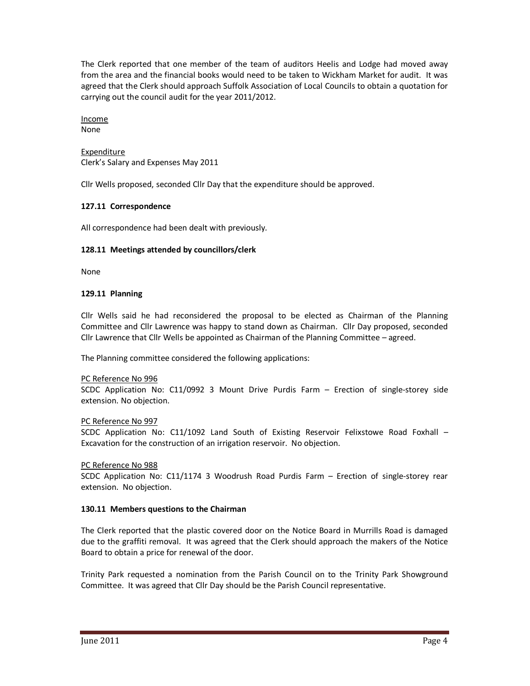The Clerk reported that one member of the team of auditors Heelis and Lodge had moved away from the area and the financial books would need to be taken to Wickham Market for audit. It was agreed that the Clerk should approach Suffolk Association of Local Councils to obtain a quotation for carrying out the council audit for the year 2011/2012.

Income None

## Expenditure Clerk's Salary and Expenses May 2011

Cllr Wells proposed, seconded Cllr Day that the expenditure should be approved.

## **127.11 Correspondence**

All correspondence had been dealt with previously.

## **128.11 Meetings attended by councillors/clerk**

None

## **129.11 Planning**

Cllr Wells said he had reconsidered the proposal to be elected as Chairman of the Planning Committee and Cllr Lawrence was happy to stand down as Chairman. Cllr Day proposed, seconded Cllr Lawrence that Cllr Wells be appointed as Chairman of the Planning Committee – agreed.

The Planning committee considered the following applications:

### PC Reference No 996

SCDC Application No: C11/0992 3 Mount Drive Purdis Farm – Erection of single-storey side extension. No objection.

### PC Reference No 997

SCDC Application No: C11/1092 Land South of Existing Reservoir Felixstowe Road Foxhall – Excavation for the construction of an irrigation reservoir. No objection.

### PC Reference No 988

SCDC Application No: C11/1174 3 Woodrush Road Purdis Farm – Erection of single-storey rear extension. No objection.

### **130.11 Members questions to the Chairman**

The Clerk reported that the plastic covered door on the Notice Board in Murrills Road is damaged due to the graffiti removal. It was agreed that the Clerk should approach the makers of the Notice Board to obtain a price for renewal of the door.

Trinity Park requested a nomination from the Parish Council on to the Trinity Park Showground Committee. It was agreed that Cllr Day should be the Parish Council representative.